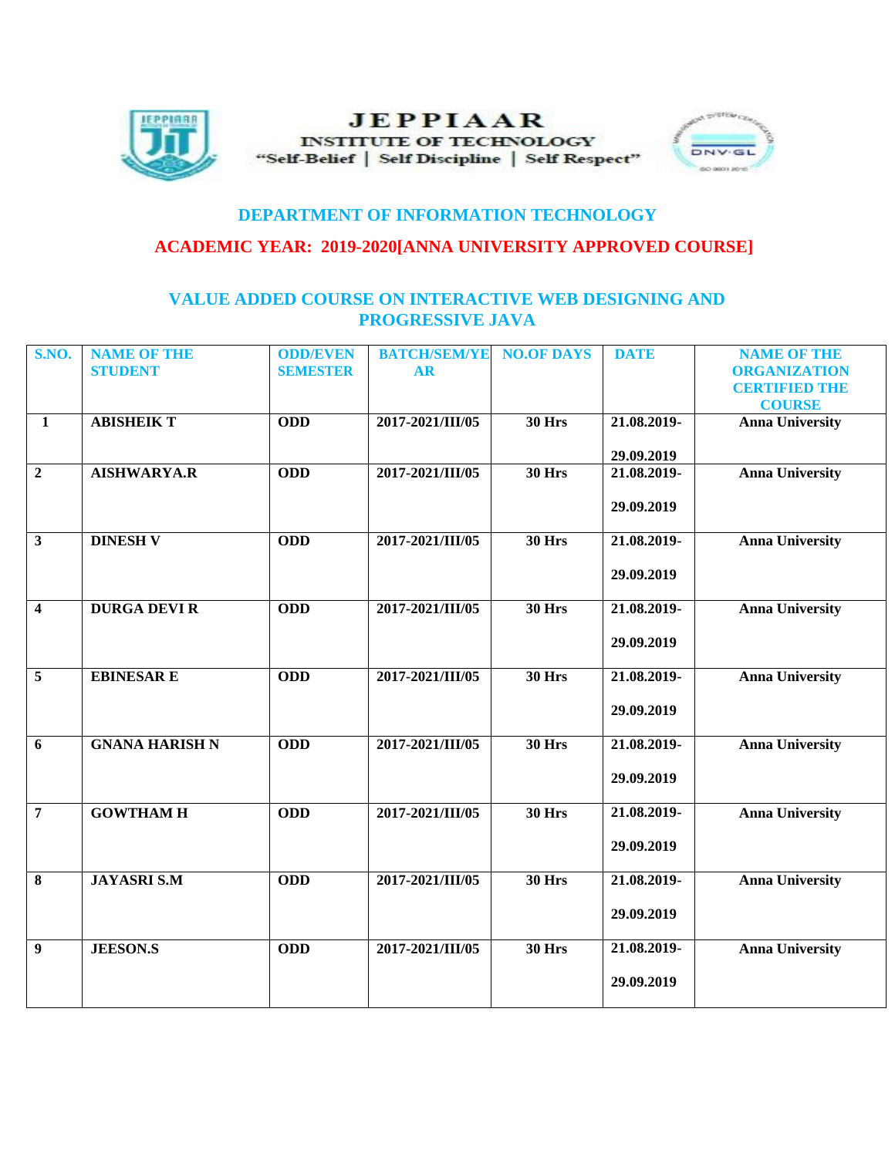

## **JEPPIAAR INSTITUTE OF TECHNOLOGY** "Self-Belief | Self Discipline | Self Respect"



## **DEPARTMENT OF INFORMATION TECHNOLOGY**

## **ACADEMIC YEAR: 2019-2020[ANNA UNIVERSITY APPROVED COURSE]**

## **VALUE ADDED COURSE ON INTERACTIVE WEB DESIGNING AND PROGRESSIVE JAVA**

| <b>S.NO.</b>            | <b>NAME OF THE</b>    | <b>ODD/EVEN</b> | <b>BATCH/SEM/YE</b> | <b>NO.OF DAYS</b> | <b>DATE</b> | <b>NAME OF THE</b>     |
|-------------------------|-----------------------|-----------------|---------------------|-------------------|-------------|------------------------|
|                         | <b>STUDENT</b>        | <b>SEMESTER</b> | <b>AR</b>           |                   |             | <b>ORGANIZATION</b>    |
|                         |                       |                 |                     |                   |             | <b>CERTIFIED THE</b>   |
|                         |                       |                 |                     |                   |             | <b>COURSE</b>          |
| $\mathbf{1}$            | <b>ABISHEIK T</b>     | <b>ODD</b>      | 2017-2021/III/05    | <b>30 Hrs</b>     | 21.08.2019- | <b>Anna University</b> |
|                         |                       |                 |                     |                   | 29.09.2019  |                        |
| $\overline{2}$          | <b>AISHWARYA.R</b>    | <b>ODD</b>      | 2017-2021/III/05    | <b>30 Hrs</b>     | 21.08.2019- | <b>Anna University</b> |
|                         |                       |                 |                     |                   |             |                        |
|                         |                       |                 |                     |                   | 29.09.2019  |                        |
| $\overline{\mathbf{3}}$ | <b>DINESH V</b>       | <b>ODD</b>      | 2017-2021/III/05    | <b>30 Hrs</b>     | 21.08.2019- | <b>Anna University</b> |
|                         |                       |                 |                     |                   |             |                        |
|                         |                       |                 |                     |                   | 29.09.2019  |                        |
|                         |                       |                 |                     |                   |             |                        |
| $\overline{\mathbf{4}}$ | <b>DURGA DEVI R</b>   | <b>ODD</b>      | 2017-2021/III/05    | <b>30 Hrs</b>     | 21.08.2019- | <b>Anna University</b> |
|                         |                       |                 |                     |                   |             |                        |
|                         |                       |                 |                     |                   | 29.09.2019  |                        |
|                         |                       |                 |                     |                   |             |                        |
| 5                       | <b>EBINESAR E</b>     | <b>ODD</b>      | 2017-2021/III/05    | <b>30 Hrs</b>     | 21.08.2019- | <b>Anna University</b> |
|                         |                       |                 |                     |                   | 29.09.2019  |                        |
|                         |                       |                 |                     |                   |             |                        |
| 6                       | <b>GNANA HARISH N</b> | <b>ODD</b>      | 2017-2021/III/05    | <b>30 Hrs</b>     | 21.08.2019- | <b>Anna University</b> |
|                         |                       |                 |                     |                   |             |                        |
|                         |                       |                 |                     |                   | 29.09.2019  |                        |
|                         |                       |                 |                     |                   |             |                        |
| $\overline{7}$          | <b>GOWTHAM H</b>      | <b>ODD</b>      | 2017-2021/III/05    | <b>30 Hrs</b>     | 21.08.2019- | <b>Anna University</b> |
|                         |                       |                 |                     |                   | 29.09.2019  |                        |
|                         |                       |                 |                     |                   |             |                        |
| $\bf{8}$                | <b>JAYASRI S.M</b>    | <b>ODD</b>      | 2017-2021/III/05    | <b>30 Hrs</b>     | 21.08.2019- | <b>Anna University</b> |
|                         |                       |                 |                     |                   |             |                        |
|                         |                       |                 |                     |                   | 29.09.2019  |                        |
|                         |                       |                 |                     |                   |             |                        |
| 9                       | <b>JEESON.S</b>       | <b>ODD</b>      | 2017-2021/III/05    | <b>30 Hrs</b>     | 21.08.2019- | <b>Anna University</b> |
|                         |                       |                 |                     |                   | 29.09.2019  |                        |
|                         |                       |                 |                     |                   |             |                        |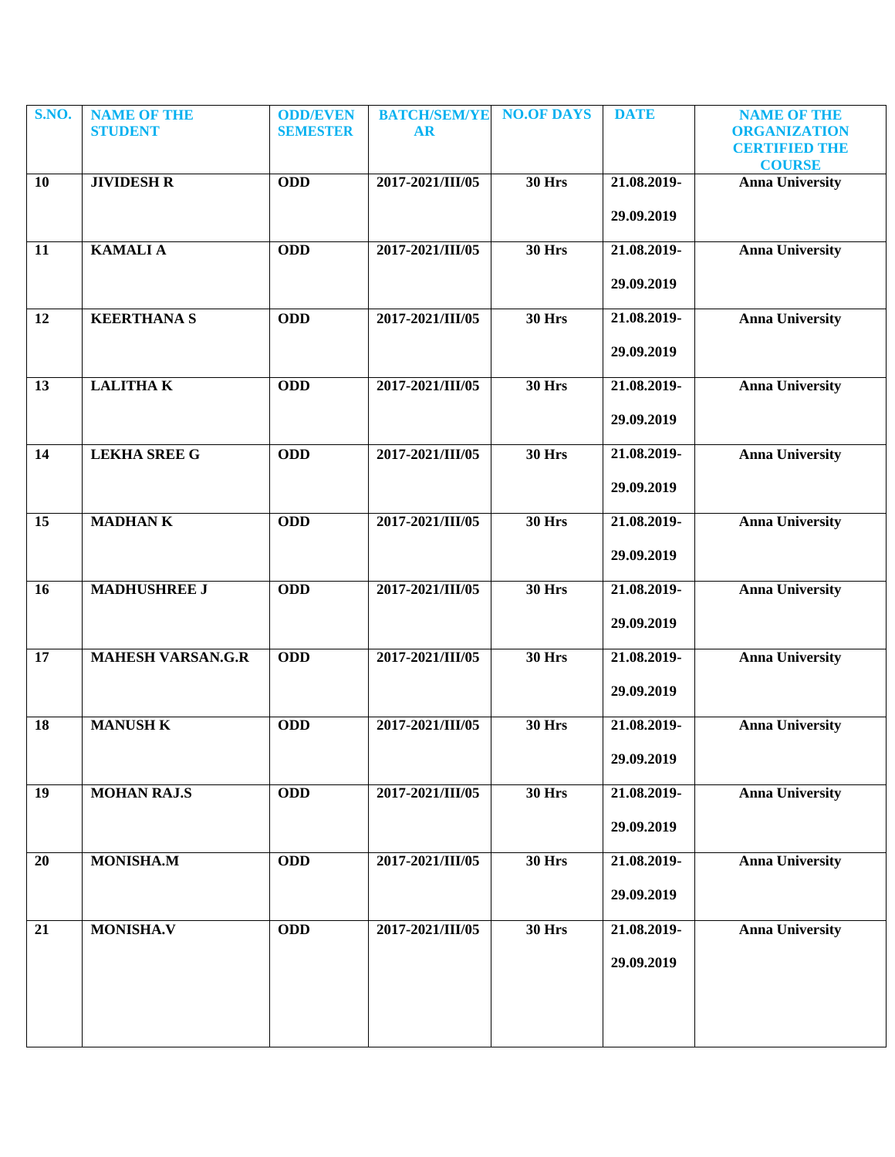| <b>S.NO.</b> | <b>NAME OF THE</b><br><b>STUDENT</b> | <b>ODD/EVEN</b><br><b>SEMESTER</b> | <b>BATCH/SEM/YE</b><br><b>AR</b> | <b>NO.OF DAYS</b> | <b>DATE</b> | <b>NAME OF THE</b><br><b>ORGANIZATION</b> |
|--------------|--------------------------------------|------------------------------------|----------------------------------|-------------------|-------------|-------------------------------------------|
|              |                                      |                                    |                                  |                   |             | <b>CERTIFIED THE</b><br><b>COURSE</b>     |
| 10           | <b>JIVIDESH R</b>                    | <b>ODD</b>                         | 2017-2021/III/05                 | <b>30 Hrs</b>     | 21.08.2019- | <b>Anna University</b>                    |
|              |                                      |                                    |                                  |                   | 29.09.2019  |                                           |
| 11           | <b>KAMALIA</b>                       | <b>ODD</b>                         | 2017-2021/III/05                 | <b>30 Hrs</b>     | 21.08.2019- | <b>Anna University</b>                    |
|              |                                      |                                    |                                  |                   | 29.09.2019  |                                           |
| 12           | <b>KEERTHANA S</b>                   | <b>ODD</b>                         | 2017-2021/III/05                 | <b>30 Hrs</b>     | 21.08.2019- | <b>Anna University</b>                    |
|              |                                      |                                    |                                  |                   | 29.09.2019  |                                           |
| 13           | <b>LALITHAK</b>                      | <b>ODD</b>                         | 2017-2021/III/05                 | <b>30 Hrs</b>     | 21.08.2019- | <b>Anna University</b>                    |
|              |                                      |                                    |                                  |                   | 29.09.2019  |                                           |
| 14           | <b>LEKHA SREE G</b>                  | <b>ODD</b>                         | 2017-2021/III/05                 | <b>30 Hrs</b>     | 21.08.2019- | <b>Anna University</b>                    |
|              |                                      |                                    |                                  |                   | 29.09.2019  |                                           |
| 15           | <b>MADHANK</b>                       | <b>ODD</b>                         | 2017-2021/III/05                 | <b>30 Hrs</b>     | 21.08.2019- | <b>Anna University</b>                    |
|              |                                      |                                    |                                  |                   | 29.09.2019  |                                           |
| 16           | <b>MADHUSHREE J</b>                  | <b>ODD</b>                         | 2017-2021/III/05                 | <b>30 Hrs</b>     | 21.08.2019- | <b>Anna University</b>                    |
|              |                                      |                                    |                                  |                   | 29.09.2019  |                                           |
| 17           | <b>MAHESH VARSAN.G.R</b>             | <b>ODD</b>                         | 2017-2021/III/05                 | <b>30 Hrs</b>     | 21.08.2019- | <b>Anna University</b>                    |
|              |                                      |                                    |                                  |                   | 29.09.2019  |                                           |
| 18           | <b>MANUSH K</b>                      | <b>ODD</b>                         | 2017-2021/III/05                 | <b>30 Hrs</b>     | 21.08.2019- | <b>Anna University</b>                    |
|              |                                      |                                    |                                  |                   | 29.09.2019  |                                           |
| 19           | <b>MOHAN RAJ.S</b>                   | <b>ODD</b>                         | 2017-2021/III/05                 | <b>30 Hrs</b>     | 21.08.2019- | <b>Anna University</b>                    |
|              |                                      |                                    |                                  |                   | 29.09.2019  |                                           |
| 20           | <b>MONISHA.M</b>                     | <b>ODD</b>                         | 2017-2021/III/05                 | <b>30 Hrs</b>     | 21.08.2019- | <b>Anna University</b>                    |
|              |                                      |                                    |                                  |                   | 29.09.2019  |                                           |
| 21           | <b>MONISHA.V</b>                     | <b>ODD</b>                         | 2017-2021/III/05                 | <b>30 Hrs</b>     | 21.08.2019- | <b>Anna University</b>                    |
|              |                                      |                                    |                                  |                   | 29.09.2019  |                                           |
|              |                                      |                                    |                                  |                   |             |                                           |
|              |                                      |                                    |                                  |                   |             |                                           |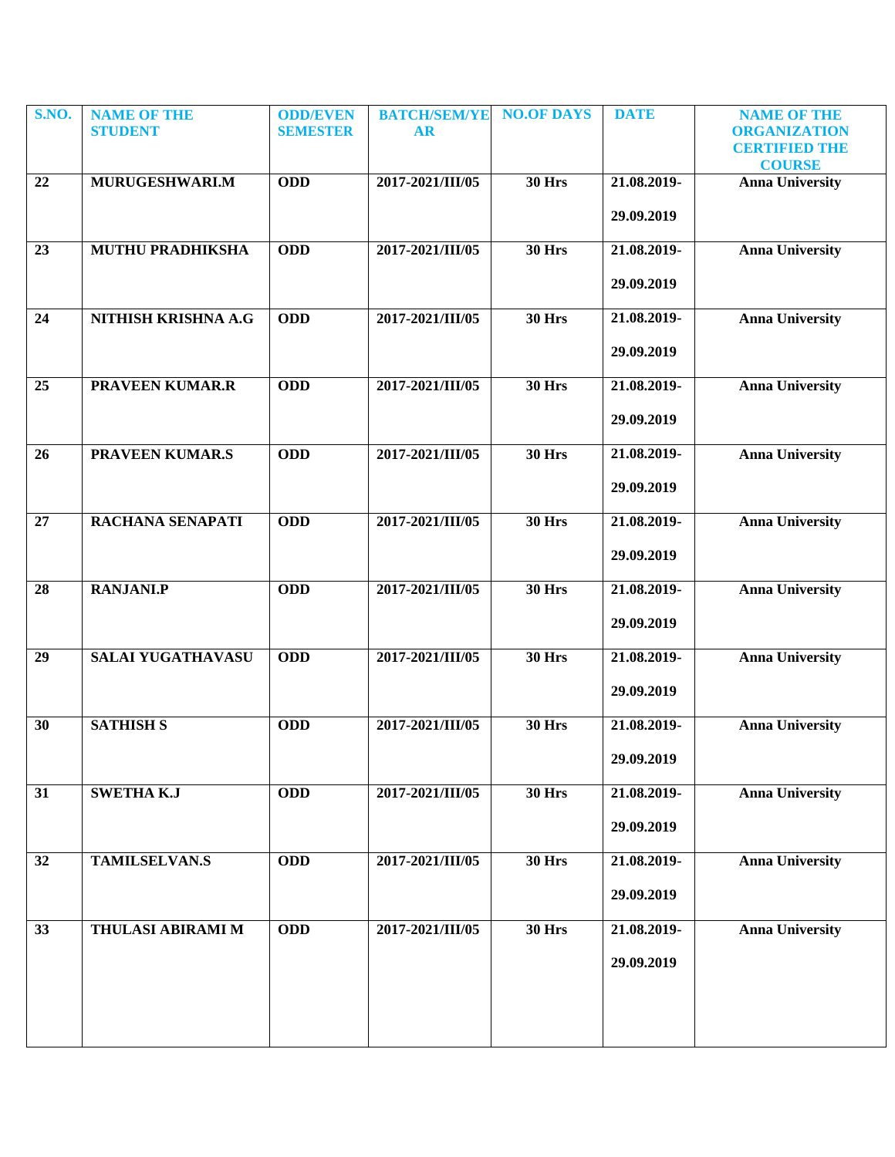| S.NO. | <b>NAME OF THE</b><br><b>STUDENT</b> | <b>ODD/EVEN</b><br><b>SEMESTER</b> | <b>BATCH/SEM/YE</b><br><b>AR</b> | <b>NO.OF DAYS</b> | <b>DATE</b> | <b>NAME OF THE</b><br><b>ORGANIZATION</b> |
|-------|--------------------------------------|------------------------------------|----------------------------------|-------------------|-------------|-------------------------------------------|
|       |                                      |                                    |                                  |                   |             | <b>CERTIFIED THE</b><br><b>COURSE</b>     |
| 22    | MURUGESHWARI.M                       | <b>ODD</b>                         | 2017-2021/III/05                 | <b>30 Hrs</b>     | 21.08.2019- | <b>Anna University</b>                    |
|       |                                      |                                    |                                  |                   | 29.09.2019  |                                           |
| 23    | MUTHU PRADHIKSHA                     | <b>ODD</b>                         | 2017-2021/III/05                 | <b>30 Hrs</b>     | 21.08.2019- | <b>Anna University</b>                    |
|       |                                      |                                    |                                  |                   | 29.09.2019  |                                           |
| 24    | NITHISH KRISHNA A.G                  | <b>ODD</b>                         | 2017-2021/III/05                 | <b>30 Hrs</b>     | 21.08.2019- | <b>Anna University</b>                    |
|       |                                      |                                    |                                  |                   | 29.09.2019  |                                           |
| 25    | <b>PRAVEEN KUMAR.R</b>               | <b>ODD</b>                         | 2017-2021/III/05                 | <b>30 Hrs</b>     | 21.08.2019- | <b>Anna University</b>                    |
|       |                                      |                                    |                                  |                   | 29.09.2019  |                                           |
| 26    | <b>PRAVEEN KUMAR.S</b>               | <b>ODD</b>                         | 2017-2021/III/05                 | <b>30 Hrs</b>     | 21.08.2019- | <b>Anna University</b>                    |
|       |                                      |                                    |                                  |                   | 29.09.2019  |                                           |
| 27    | RACHANA SENAPATI                     | <b>ODD</b>                         | 2017-2021/III/05                 | <b>30 Hrs</b>     | 21.08.2019- | <b>Anna University</b>                    |
|       |                                      |                                    |                                  |                   | 29.09.2019  |                                           |
| 28    | <b>RANJANI.P</b>                     | <b>ODD</b>                         | 2017-2021/III/05                 | <b>30 Hrs</b>     | 21.08.2019- | <b>Anna University</b>                    |
|       |                                      |                                    |                                  |                   | 29.09.2019  |                                           |
| 29    | <b>SALAI YUGATHAVASU</b>             | <b>ODD</b>                         | 2017-2021/III/05                 | <b>30 Hrs</b>     | 21.08.2019- | <b>Anna University</b>                    |
|       |                                      |                                    |                                  |                   | 29.09.2019  |                                           |
| 30    | <b>SATHISH S</b>                     | <b>ODD</b>                         | 2017-2021/III/05                 | <b>30 Hrs</b>     | 21.08.2019- | <b>Anna University</b>                    |
|       |                                      |                                    |                                  |                   | 29.09.2019  |                                           |
| 31    | <b>SWETHA K.J</b>                    | <b>ODD</b>                         | 2017-2021/III/05                 | <b>30 Hrs</b>     | 21.08.2019- | <b>Anna University</b>                    |
|       |                                      |                                    |                                  |                   | 29.09.2019  |                                           |
| 32    | <b>TAMILSELVAN.S</b>                 | <b>ODD</b>                         | 2017-2021/III/05                 | <b>30 Hrs</b>     | 21.08.2019- | <b>Anna University</b>                    |
|       |                                      |                                    |                                  |                   | 29.09.2019  |                                           |
| 33    | <b>THULASI ABIRAMI M</b>             | <b>ODD</b>                         | 2017-2021/III/05                 | <b>30 Hrs</b>     | 21.08.2019- | <b>Anna University</b>                    |
|       |                                      |                                    |                                  |                   | 29.09.2019  |                                           |
|       |                                      |                                    |                                  |                   |             |                                           |
|       |                                      |                                    |                                  |                   |             |                                           |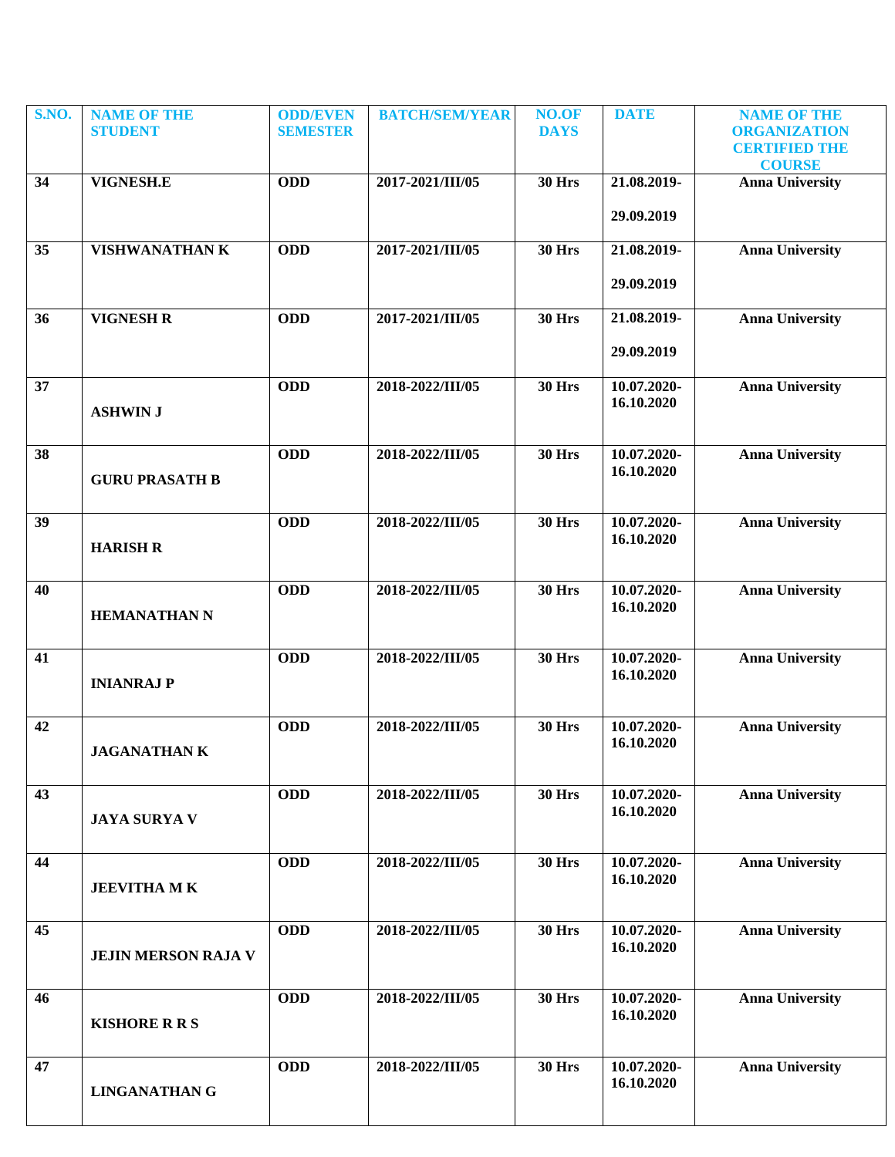| S.NO. | <b>NAME OF THE</b>         | <b>ODD/EVEN</b> | <b>BATCH/SEM/YEAR</b> | NO.OF         | <b>DATE</b>               | <b>NAME OF THE</b>                          |
|-------|----------------------------|-----------------|-----------------------|---------------|---------------------------|---------------------------------------------|
|       | <b>STUDENT</b>             | <b>SEMESTER</b> |                       | <b>DAYS</b>   |                           | <b>ORGANIZATION</b><br><b>CERTIFIED THE</b> |
|       |                            |                 |                       |               |                           | <b>COURSE</b>                               |
| 34    | VIGNESH.E                  | <b>ODD</b>      | 2017-2021/III/05      | <b>30 Hrs</b> | 21.08.2019-               | <b>Anna University</b>                      |
|       |                            |                 |                       |               | 29.09.2019                |                                             |
|       |                            |                 |                       |               |                           |                                             |
| 35    | <b>VISHWANATHAN K</b>      | <b>ODD</b>      | 2017-2021/III/05      | <b>30 Hrs</b> | 21.08.2019-               | <b>Anna University</b>                      |
|       |                            |                 |                       |               | 29.09.2019                |                                             |
|       |                            |                 |                       |               |                           |                                             |
| 36    | <b>VIGNESH R</b>           | <b>ODD</b>      | 2017-2021/III/05      | <b>30 Hrs</b> | 21.08.2019-               | <b>Anna University</b>                      |
|       |                            |                 |                       |               | 29.09.2019                |                                             |
| 37    |                            | <b>ODD</b>      | 2018-2022/III/05      | <b>30 Hrs</b> | 10.07.2020-               | <b>Anna University</b>                      |
|       | <b>ASHWIN J</b>            |                 |                       |               | 16.10.2020                |                                             |
|       |                            |                 |                       |               |                           |                                             |
| 38    |                            | <b>ODD</b>      | 2018-2022/III/05      | <b>30 Hrs</b> | 10.07.2020-               | <b>Anna University</b>                      |
|       | <b>GURU PRASATH B</b>      |                 |                       |               | 16.10.2020                |                                             |
|       |                            |                 |                       |               |                           |                                             |
| 39    |                            | <b>ODD</b>      | 2018-2022/III/05      | <b>30 Hrs</b> | 10.07.2020-               | <b>Anna University</b>                      |
|       | <b>HARISH R</b>            |                 |                       |               | 16.10.2020                |                                             |
|       |                            |                 |                       |               |                           |                                             |
| 40    |                            | <b>ODD</b>      | 2018-2022/III/05      | <b>30 Hrs</b> | 10.07.2020-<br>16.10.2020 | <b>Anna University</b>                      |
|       | <b>HEMANATHAN N</b>        |                 |                       |               |                           |                                             |
| 41    |                            | <b>ODD</b>      | 2018-2022/III/05      | <b>30 Hrs</b> | 10.07.2020-               | <b>Anna University</b>                      |
|       | <b>INIANRAJ P</b>          |                 |                       |               | 16.10.2020                |                                             |
|       |                            |                 |                       |               |                           |                                             |
| 42    |                            | <b>ODD</b>      | 2018-2022/III/05      | <b>30 Hrs</b> | 10.07.2020-               | <b>Anna University</b>                      |
|       | <b>JAGANATHAN K</b>        |                 |                       |               | 16.10.2020                |                                             |
|       |                            |                 |                       |               |                           |                                             |
| 43    |                            | <b>ODD</b>      | 2018-2022/III/05      | <b>30 Hrs</b> | 10.07.2020-               | <b>Anna University</b>                      |
|       | <b>JAYA SURYA V</b>        |                 |                       |               | 16.10.2020                |                                             |
|       |                            |                 |                       |               |                           |                                             |
| 44    |                            | <b>ODD</b>      | 2018-2022/III/05      | <b>30 Hrs</b> | 10.07.2020-<br>16.10.2020 | <b>Anna University</b>                      |
|       | <b>JEEVITHA MK</b>         |                 |                       |               |                           |                                             |
| 45    |                            | <b>ODD</b>      | 2018-2022/III/05      | <b>30 Hrs</b> | 10.07.2020-               | <b>Anna University</b>                      |
|       | <b>JEJIN MERSON RAJA V</b> |                 |                       |               | 16.10.2020                |                                             |
|       |                            |                 |                       |               |                           |                                             |
| 46    |                            | <b>ODD</b>      | 2018-2022/III/05      | <b>30 Hrs</b> | 10.07.2020-               | <b>Anna University</b>                      |
|       | <b>KISHORE R R S</b>       |                 |                       |               | 16.10.2020                |                                             |
|       |                            |                 |                       |               |                           |                                             |
| 47    |                            | <b>ODD</b>      | 2018-2022/III/05      | <b>30 Hrs</b> | 10.07.2020-               | <b>Anna University</b>                      |
|       | <b>LINGANATHAN G</b>       |                 |                       |               | 16.10.2020                |                                             |
|       |                            |                 |                       |               |                           |                                             |